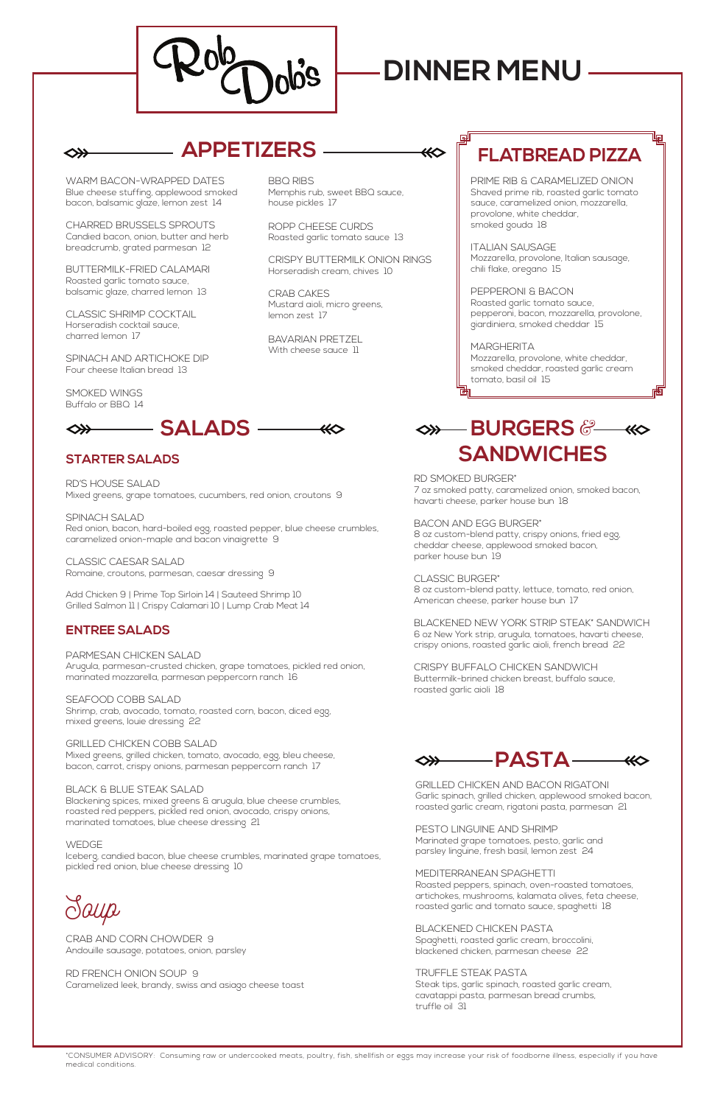WARM BACON-WRAPPED DATES Blue cheese stuffing, applewood smoked bacon, balsamic glaze, lemon zest 14

CHARRED BRUSSELS SPROUTS Candied bacon, onion, butter and herb breadcrumb, grated parmesan 12

BUTTERMILK-FRIED CALAMARI Roasted garlic tomato sauce, balsamic glaze, charred lemon 13

CLASSIC SHRIMP COCKTAIL Horseradish cocktail sauce, charred lemon 17

BAVARIAN PRETZEL With cheese sauce 11

SPINACH AND ARTICHOKE DIP Four cheese Italian bread 13

SMOKED WINGS Buffalo or BBQ 14

◇≫

BBQ RIBS

Memphis rub, sweet BBQ sauce, house pickles 17

ROPP CHEESE CURDS Roasted garlic tomato sauce 13

CRISPY BUTTERMILK ONION RINGS Horseradish cream, chives 10

> **MARGHERITA** Mozzarella, provolone, white cheddar, smoked cheddar, roasted garlic cream tomato, basil oil 15

CRAB CAKES Mustard aioli, micro greens, lemon zest 17

PRIME RIB & CARAMELIZED ONION Shaved prime rib, roasted garlic tomato sauce, caramelized onion, mozzarella, provolone, white cheddar, smoked gouda 18

ITALIAN SAUSAGE Mozzarella, provolone, Italian sausage, chili flake, oregano 15

PEPPERONI & BACON Roasted garlic tomato sauce, pepperoni, bacon, mozzarella, provolone, giardiniera, smoked cheddar 15

RD SMOKED BURGER\* 7 oz smoked patty, caramelized onion, smoked bacon, havarti cheese, parker house bun 18

BACON AND EGG BURGER\* 8 oz custom-blend patty, crispy onions, fried egg, cheddar cheese, applewood smoked bacon, parker house bun 19

CLASSIC BURGER\* 8 oz custom-blend patty, lettuce, tomato, red onion, American cheese, parker house bun 17

BLACKENED NEW YORK STRIP STEAK\* SANDWICH 6 oz New York strip, arugula, tomatoes, havarti cheese, crispy onions, roasted garlic aioli, french bread 22

CRISPY BUFFALO CHICKEN SANDWICH Buttermilk-brined chicken breast, buffalo sauce, roasted garlic aioli 18

\*CONSUMER ADVISORY: Consuming raw or undercooked meats, poultry, fish, shellfish or eggs may increase your risk of foodborne illness, especially if you have medical conditions.

### **STARTER SALADS**

RD'S HOUSE SALAD Mixed greens, grape tomatoes, cucumbers, red onion, croutons 9

SPINACH SALAD Red onion, bacon, hard-boiled egg, roasted pepper, blue cheese crumbles, caramelized onion-maple and bacon vinaigrette 9

CLASSIC CAESAR SALAD Romaine, croutons, parmesan, caesar dressing 9

Add Chicken 9 | Prime Top Sirloin 14 | Sauteed Shrimp 10 Grilled Salmon 11 | Crispy Calamari 10 | Lump Crab Meat 14

### **ENTREE SALADS**

PARMESAN CHICKEN SALAD Arugula, parmesan-crusted chicken, grape tomatoes, pickled red onion, marinated mozzarella, parmesan peppercorn ranch 16

SEAFOOD COBB SALAD Shrimp, crab, avocado, tomato, roasted corn, bacon, diced egg, mixed greens, louie dressing 22

GRILLED CHICKEN COBB SALAD Mixed greens, grilled chicken, tomato, avocado, egg, bleu cheese, bacon, carrot, crispy onions, parmesan peppercorn ranch 17

BLACK & BLUE STEAK SALAD

Blackening spices, mixed greens & arugula, blue cheese crumbles, roasted red peppers, pickled red onion, avocado, crispy onions, marinated tomatoes, blue cheese dressing 21

#### WEDGE

Iceberg, candied bacon, blue cheese crumbles, marinated grape tomatoes, pickled red onion, blue cheese dressing 10

# *Soup*

CRAB AND CORN CHOWDER 9 Andouille sausage, potatoes, onion, parsley

RD FRENCH ONION SOUP 9 Caramelized leek, brandy, swiss and asiago cheese toast

## **APPETIZERS**



**SANDWICHES**



GRILLED CHICKEN AND BACON RIGATONI Garlic spinach, grilled chicken, applewood smoked bacon, roasted garlic cream, rigatoni pasta, parmesan 21

PESTO LINGUINE AND SHRIMP Marinated grape tomatoes, pesto, garlic and parsley linguine, fresh basil, lemon zest 24

#### MEDITERRANEAN SPAGHETTI

Roasted peppers, spinach, oven-roasted tomatoes, artichokes, mushrooms, kalamata olives, feta cheese, roasted garlic and tomato sauce, spaghetti 18

BLACKENED CHICKEN PASTA Spaghetti, roasted garlic cream, broccolini, blackened chicken, parmesan cheese 22

TRUFFLE STEAK PASTA Steak tips, garlic spinach, roasted garlic cream, cavatappi pasta, parmesan bread crumbs, truffle oil 31

## **FLATBREAD PIZZA**

咆

両



# **DINNER MENU**

 $\ll$